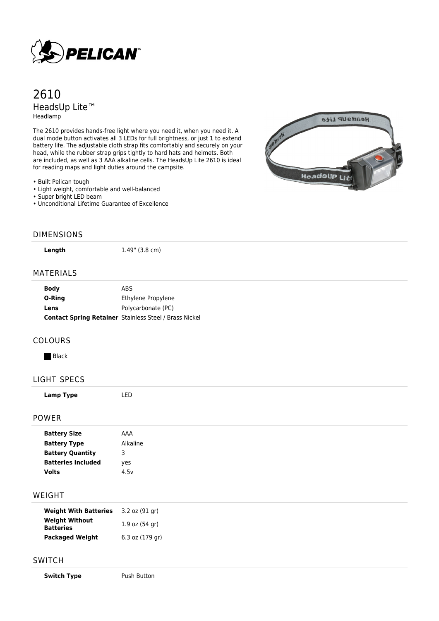

# 2610 HeadsUp Lite™ Headlamp

The 2610 provides hands-free light where you need it, when you need it. A dual mode button activates all 3 LEDs for full brightness, or just 1 to extend battery life. The adjustable cloth strap fits comfortably and securely on your head, while the rubber strap grips tightly to hard hats and helmets. Both are included, as well as 3 AAA alkaline cells. The HeadsUp Lite 2610 is ideal for reading maps and light duties around the campsite.

• Built Pelican tough

- Light weight, comfortable and well-balanced
- Super bright LED beam
- Unconditional Lifetime Guarantee of Excellence



### DIMENSIONS

**Length** 1.49" (3.8 cm)

#### MATERIALS

| <b>Body</b> | ABS.                                                          |
|-------------|---------------------------------------------------------------|
| O-Ring      | Ethylene Propylene                                            |
| Lens        | Polycarbonate (PC)                                            |
|             | <b>Contact Spring Retainer</b> Stainless Steel / Brass Nickel |

#### COLOURS

**Black** 

## LIGHT SPECS

**Lamp Type** LED

## POWER

| <b>Battery Size</b>       | AAA      |
|---------------------------|----------|
| <b>Battery Type</b>       | Alkaline |
| <b>Battery Quantity</b>   | З        |
| <b>Batteries Included</b> | yes      |
| Volts                     | 4.5v     |

#### WEIGHT

| <b>Weight With Batteries</b>              | $3.2$ oz $(91$ gr) |
|-------------------------------------------|--------------------|
| <b>Weight Without</b><br><b>Batteries</b> | $1.9$ oz $(54$ gr) |
| <b>Packaged Weight</b>                    | 6.3 oz (179 gr)    |

### SWITCH

**Switch Type** Push Button